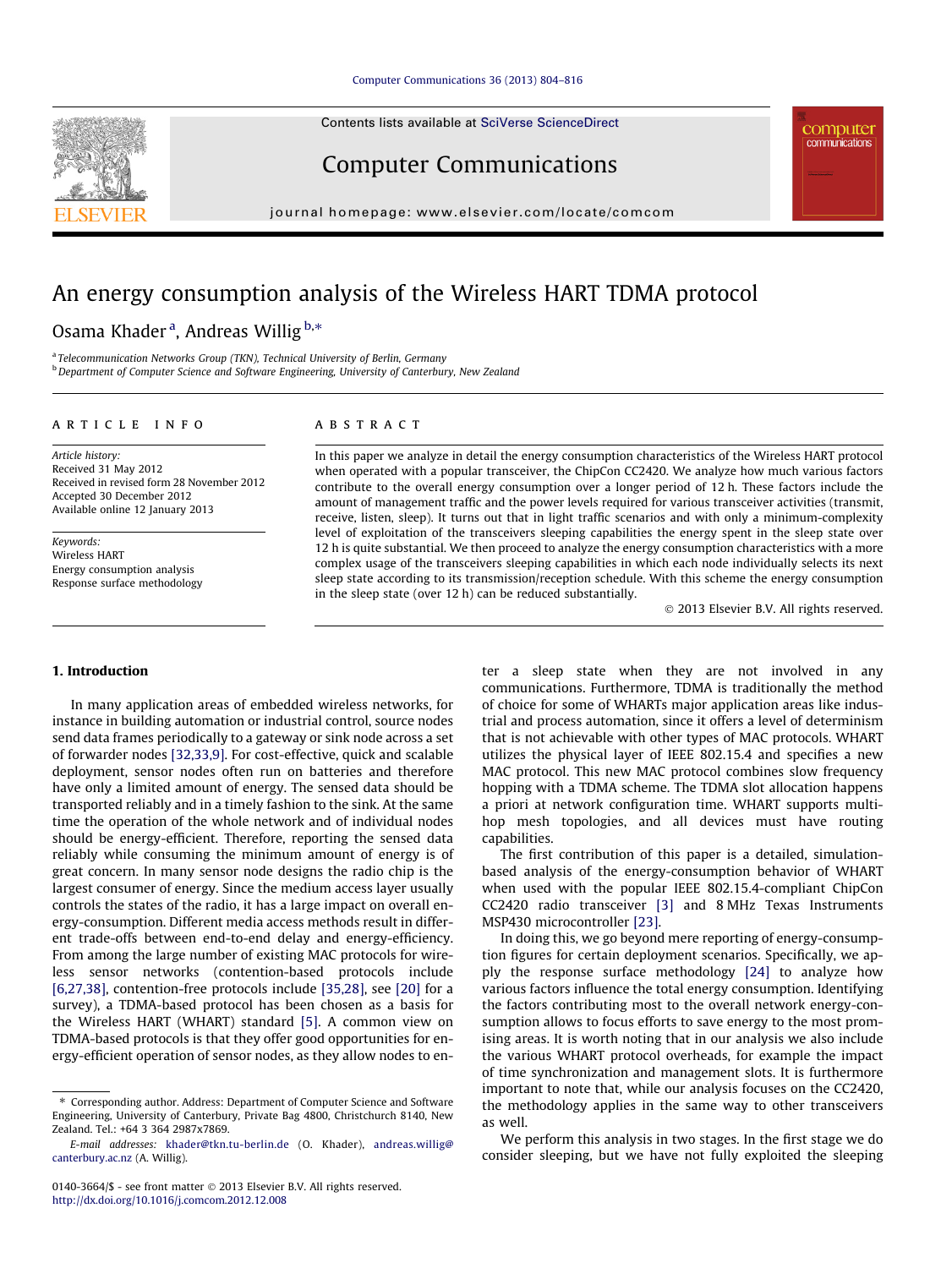Contents lists available at [SciVerse ScienceDirect](http://www.sciencedirect.com/science/journal/01403664)

## Computer Communications

journal homepage: [www.elsevier.com/locate/comcom](http://www.elsevier.com/locate/comcom)

# An energy consumption analysis of the Wireless HART TDMA protocol

### Osama Khader <sup>a</sup>, Andreas Willig <sup>b,</sup>\*

<sup>a</sup> Telecommunication Networks Group (TKN), Technical University of Berlin, Germany <sup>b</sup> Department of Computer Science and Software Engineering, University of Canterbury, New Zealand

#### article info

Article history: Received 31 May 2012 Received in revised form 28 November 2012 Accepted 30 December 2012 Available online 12 January 2013

Keywords: Wireless HART Energy consumption analysis Response surface methodology

#### **ABSTRACT**

In this paper we analyze in detail the energy consumption characteristics of the Wireless HART protocol when operated with a popular transceiver, the ChipCon CC2420. We analyze how much various factors contribute to the overall energy consumption over a longer period of 12 h. These factors include the amount of management traffic and the power levels required for various transceiver activities (transmit, receive, listen, sleep). It turns out that in light traffic scenarios and with only a minimum-complexity level of exploitation of the transceivers sleeping capabilities the energy spent in the sleep state over 12 h is quite substantial. We then proceed to analyze the energy consumption characteristics with a more complex usage of the transceivers sleeping capabilities in which each node individually selects its next sleep state according to its transmission/reception schedule. With this scheme the energy consumption in the sleep state (over 12 h) can be reduced substantially.

- 2013 Elsevier B.V. All rights reserved.

computer communications

#### 1. Introduction

In many application areas of embedded wireless networks, for instance in building automation or industrial control, source nodes send data frames periodically to a gateway or sink node across a set of forwarder nodes [\[32,33,9\].](#page--1-0) For cost-effective, quick and scalable deployment, sensor nodes often run on batteries and therefore have only a limited amount of energy. The sensed data should be transported reliably and in a timely fashion to the sink. At the same time the operation of the whole network and of individual nodes should be energy-efficient. Therefore, reporting the sensed data reliably while consuming the minimum amount of energy is of great concern. In many sensor node designs the radio chip is the largest consumer of energy. Since the medium access layer usually controls the states of the radio, it has a large impact on overall energy-consumption. Different media access methods result in different trade-offs between end-to-end delay and energy-efficiency. From among the large number of existing MAC protocols for wireless sensor networks (contention-based protocols include [\[6,27,38\]](#page--1-0), contention-free protocols include [\[35,28\],](#page--1-0) see [\[20\]](#page--1-0) for a survey), a TDMA-based protocol has been chosen as a basis for the Wireless HART (WHART) standard [\[5\].](#page--1-0) A common view on TDMA-based protocols is that they offer good opportunities for energy-efficient operation of sensor nodes, as they allow nodes to enter a sleep state when they are not involved in any communications. Furthermore, TDMA is traditionally the method of choice for some of WHARTs major application areas like industrial and process automation, since it offers a level of determinism that is not achievable with other types of MAC protocols. WHART utilizes the physical layer of IEEE 802.15.4 and specifies a new MAC protocol. This new MAC protocol combines slow frequency hopping with a TDMA scheme. The TDMA slot allocation happens a priori at network configuration time. WHART supports multihop mesh topologies, and all devices must have routing capabilities.

The first contribution of this paper is a detailed, simulationbased analysis of the energy-consumption behavior of WHART when used with the popular IEEE 802.15.4-compliant ChipCon CC2420 radio transceiver [\[3\]](#page--1-0) and 8 MHz Texas Instruments MSP430 microcontroller [\[23\].](#page--1-0)

In doing this, we go beyond mere reporting of energy-consumption figures for certain deployment scenarios. Specifically, we apply the response surface methodology [\[24\]](#page--1-0) to analyze how various factors influence the total energy consumption. Identifying the factors contributing most to the overall network energy-consumption allows to focus efforts to save energy to the most promising areas. It is worth noting that in our analysis we also include the various WHART protocol overheads, for example the impact of time synchronization and management slots. It is furthermore important to note that, while our analysis focuses on the CC2420, the methodology applies in the same way to other transceivers as well.

We perform this analysis in two stages. In the first stage we do consider sleeping, but we have not fully exploited the sleeping



<sup>⇑</sup> Corresponding author. Address: Department of Computer Science and Software Engineering, University of Canterbury, Private Bag 4800, Christchurch 8140, New Zealand. Tel.: +64 3 364 2987x7869.

E-mail addresses: [khader@tkn.tu-berlin.de](mailto:khader@tkn.tu-berlin.de) (O. Khader), [andreas.willig@](mailto:andreas.willig@canterbury.ac.nz) [canterbury.ac.nz](mailto:andreas.willig@canterbury.ac.nz) (A. Willig).

<sup>0140-3664/\$ -</sup> see front matter © 2013 Elsevier B.V. All rights reserved. <http://dx.doi.org/10.1016/j.comcom.2012.12.008>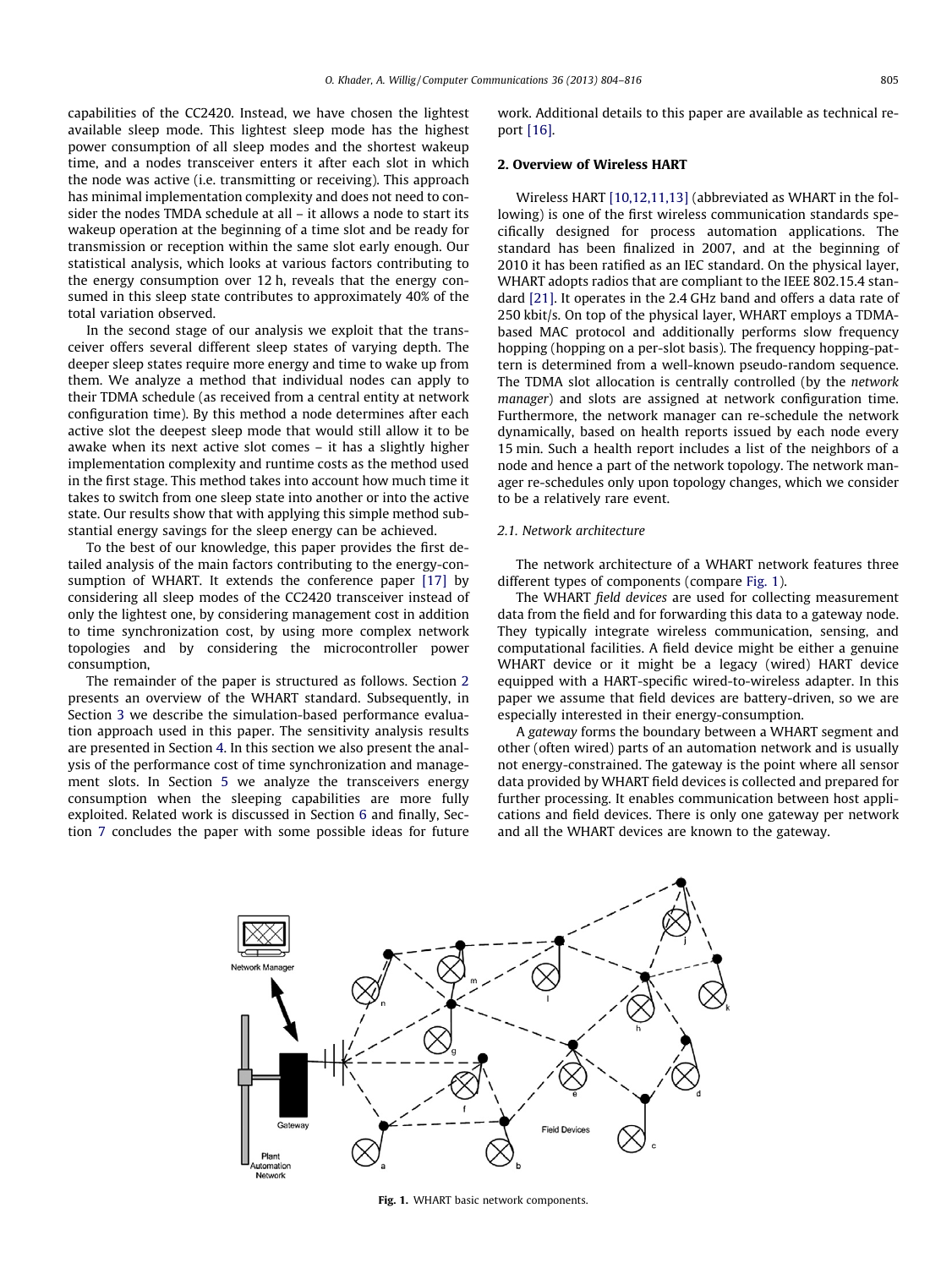capabilities of the CC2420. Instead, we have chosen the lightest available sleep mode. This lightest sleep mode has the highest power consumption of all sleep modes and the shortest wakeup time, and a nodes transceiver enters it after each slot in which the node was active (i.e. transmitting or receiving). This approach has minimal implementation complexity and does not need to consider the nodes TMDA schedule at all – it allows a node to start its wakeup operation at the beginning of a time slot and be ready for transmission or reception within the same slot early enough. Our statistical analysis, which looks at various factors contributing to the energy consumption over 12 h, reveals that the energy consumed in this sleep state contributes to approximately 40% of the total variation observed.

In the second stage of our analysis we exploit that the transceiver offers several different sleep states of varying depth. The deeper sleep states require more energy and time to wake up from them. We analyze a method that individual nodes can apply to their TDMA schedule (as received from a central entity at network configuration time). By this method a node determines after each active slot the deepest sleep mode that would still allow it to be awake when its next active slot comes – it has a slightly higher implementation complexity and runtime costs as the method used in the first stage. This method takes into account how much time it takes to switch from one sleep state into another or into the active state. Our results show that with applying this simple method substantial energy savings for the sleep energy can be achieved.

To the best of our knowledge, this paper provides the first detailed analysis of the main factors contributing to the energy-consumption of WHART. It extends the conference paper [\[17\]](#page--1-0) by considering all sleep modes of the CC2420 transceiver instead of only the lightest one, by considering management cost in addition to time synchronization cost, by using more complex network topologies and by considering the microcontroller power consumption,

The remainder of the paper is structured as follows. Section 2 presents an overview of the WHART standard. Subsequently, in Section [3](#page--1-0) we describe the simulation-based performance evaluation approach used in this paper. The sensitivity analysis results are presented in Section [4.](#page--1-0) In this section we also present the analysis of the performance cost of time synchronization and management slots. In Section [5](#page--1-0) we analyze the transceivers energy consumption when the sleeping capabilities are more fully exploited. Related work is discussed in Section [6](#page--1-0) and finally, Section [7](#page--1-0) concludes the paper with some possible ideas for future

work. Additional details to this paper are available as technical report [\[16\]](#page--1-0).

#### 2. Overview of Wireless HART

Wireless HART [\[10,12,11,13\]](#page--1-0) (abbreviated as WHART in the following) is one of the first wireless communication standards specifically designed for process automation applications. The standard has been finalized in 2007, and at the beginning of 2010 it has been ratified as an IEC standard. On the physical layer, WHART adopts radios that are compliant to the IEEE 802.15.4 standard [\[21\].](#page--1-0) It operates in the 2.4 GHz band and offers a data rate of 250 kbit/s. On top of the physical layer, WHART employs a TDMAbased MAC protocol and additionally performs slow frequency hopping (hopping on a per-slot basis). The frequency hopping-pattern is determined from a well-known pseudo-random sequence. The TDMA slot allocation is centrally controlled (by the network manager) and slots are assigned at network configuration time. Furthermore, the network manager can re-schedule the network dynamically, based on health reports issued by each node every 15 min. Such a health report includes a list of the neighbors of a node and hence a part of the network topology. The network manager re-schedules only upon topology changes, which we consider to be a relatively rare event.

#### 2.1. Network architecture

The network architecture of a WHART network features three different types of components (compare Fig. 1).

The WHART field devices are used for collecting measurement data from the field and for forwarding this data to a gateway node. They typically integrate wireless communication, sensing, and computational facilities. A field device might be either a genuine WHART device or it might be a legacy (wired) HART device equipped with a HART-specific wired-to-wireless adapter. In this paper we assume that field devices are battery-driven, so we are especially interested in their energy-consumption.

A gateway forms the boundary between a WHART segment and other (often wired) parts of an automation network and is usually not energy-constrained. The gateway is the point where all sensor data provided by WHART field devices is collected and prepared for further processing. It enables communication between host applications and field devices. There is only one gateway per network and all the WHART devices are known to the gateway.



Fig. 1. WHART basic network components.